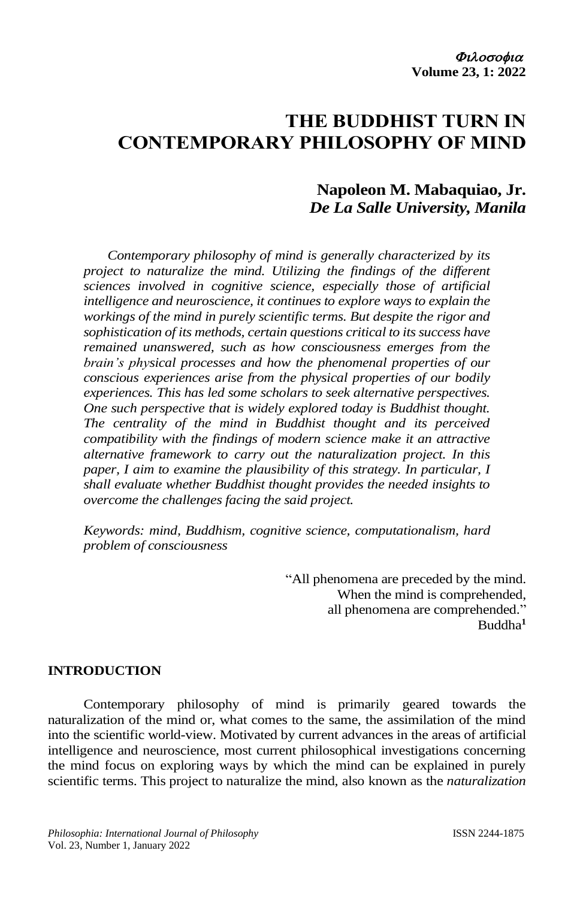# **THE BUDDHIST TURN IN CONTEMPORARY PHILOSOPHY OF MIND**

## **Napoleon M. Mabaquiao, Jr.** *De La Salle University, Manila*

*Contemporary philosophy of mind is generally characterized by its project to naturalize the mind. Utilizing the findings of the different sciences involved in cognitive science, especially those of artificial intelligence and neuroscience, it continues to explore ways to explain the workings of the mind in purely scientific terms. But despite the rigor and sophistication of its methods, certain questions critical to its success have remained unanswered, such as how consciousness emerges from the brain's physical processes and how the phenomenal properties of our conscious experiences arise from the physical properties of our bodily experiences. This has led some scholars to seek alternative perspectives. One such perspective that is widely explored today is Buddhist thought. The centrality of the mind in Buddhist thought and its perceived compatibility with the findings of modern science make it an attractive alternative framework to carry out the naturalization project. In this paper, I aim to examine the plausibility of this strategy. In particular, I shall evaluate whether Buddhist thought provides the needed insights to overcome the challenges facing the said project.* 

*Keywords: mind, Buddhism, cognitive science, computationalism, hard problem of consciousness*

> "All phenomena are preceded by the mind. When the mind is comprehended, all phenomena are comprehended." Buddha**<sup>1</sup>**

## **INTRODUCTION**

Contemporary philosophy of mind is primarily geared towards the naturalization of the mind or, what comes to the same, the assimilation of the mind into the scientific world-view. Motivated by current advances in the areas of artificial intelligence and neuroscience, most current philosophical investigations concerning the mind focus on exploring ways by which the mind can be explained in purely scientific terms. This project to naturalize the mind, also known as the *naturalization*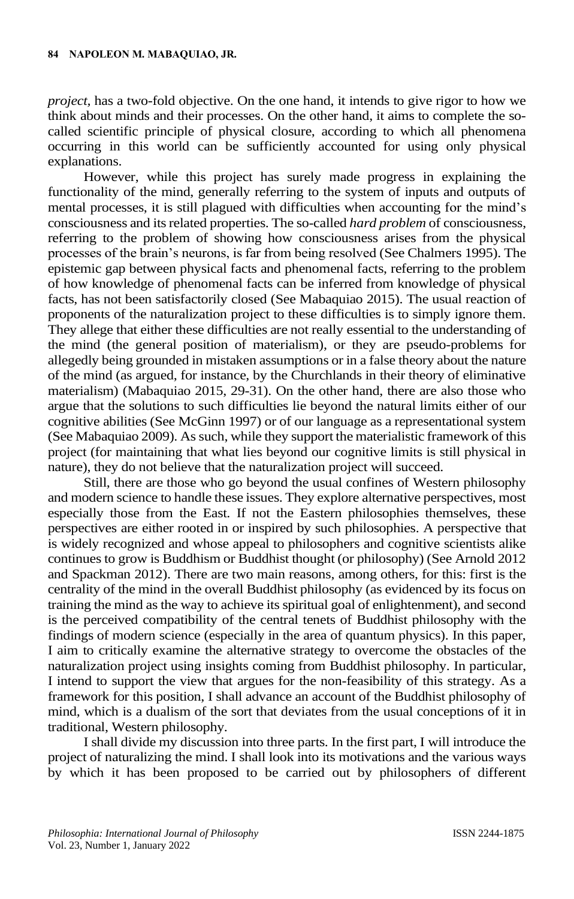*project,* has a two-fold objective. On the one hand, it intends to give rigor to how we think about minds and their processes. On the other hand, it aims to complete the socalled scientific principle of physical closure, according to which all phenomena occurring in this world can be sufficiently accounted for using only physical explanations.

However, while this project has surely made progress in explaining the functionality of the mind, generally referring to the system of inputs and outputs of mental processes, it is still plagued with difficulties when accounting for the mind's consciousness and its related properties. The so-called *hard problem* of consciousness, referring to the problem of showing how consciousness arises from the physical processes of the brain's neurons, is far from being resolved (See Chalmers 1995). The epistemic gap between physical facts and phenomenal facts, referring to the problem of how knowledge of phenomenal facts can be inferred from knowledge of physical facts, has not been satisfactorily closed (See Mabaquiao 2015). The usual reaction of proponents of the naturalization project to these difficulties is to simply ignore them. They allege that either these difficulties are not really essential to the understanding of the mind (the general position of materialism), or they are pseudo-problems for allegedly being grounded in mistaken assumptions or in a false theory about the nature of the mind (as argued, for instance, by the Churchlands in their theory of eliminative materialism) (Mabaquiao 2015, 29-31). On the other hand, there are also those who argue that the solutions to such difficulties lie beyond the natural limits either of our cognitive abilities (See McGinn 1997) or of our language as a representational system (See Mabaquiao 2009). As such, while they support the materialistic framework of this project (for maintaining that what lies beyond our cognitive limits is still physical in nature), they do not believe that the naturalization project will succeed.

Still, there are those who go beyond the usual confines of Western philosophy and modern science to handle these issues. They explore alternative perspectives, most especially those from the East. If not the Eastern philosophies themselves, these perspectives are either rooted in or inspired by such philosophies. A perspective that is widely recognized and whose appeal to philosophers and cognitive scientists alike continues to grow is Buddhism or Buddhist thought (or philosophy) (See Arnold 2012 and Spackman 2012). There are two main reasons, among others, for this: first is the centrality of the mind in the overall Buddhist philosophy (as evidenced by its focus on training the mind as the way to achieve its spiritual goal of enlightenment), and second is the perceived compatibility of the central tenets of Buddhist philosophy with the findings of modern science (especially in the area of quantum physics). In this paper, I aim to critically examine the alternative strategy to overcome the obstacles of the naturalization project using insights coming from Buddhist philosophy. In particular, I intend to support the view that argues for the non-feasibility of this strategy. As a framework for this position, I shall advance an account of the Buddhist philosophy of mind, which is a dualism of the sort that deviates from the usual conceptions of it in traditional, Western philosophy.

I shall divide my discussion into three parts. In the first part, I will introduce the project of naturalizing the mind. I shall look into its motivations and the various ways by which it has been proposed to be carried out by philosophers of different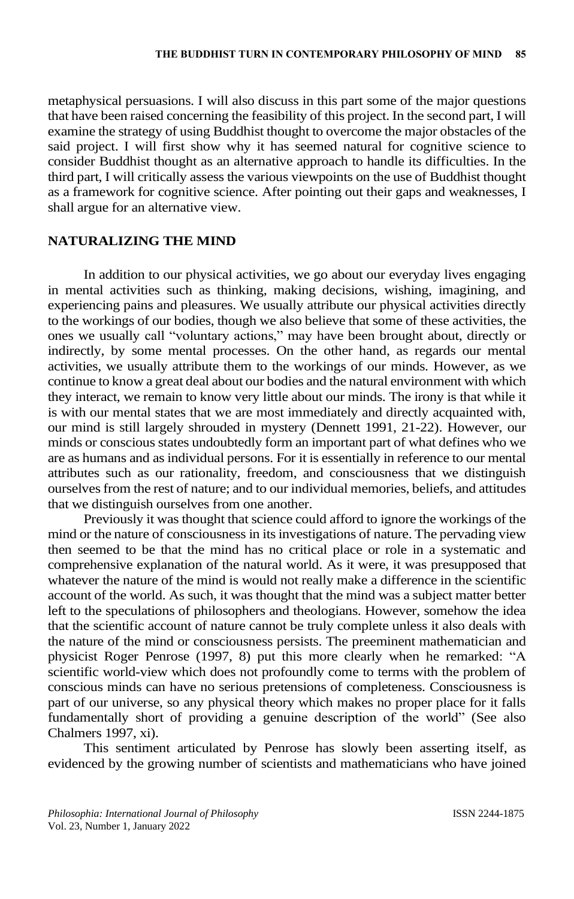metaphysical persuasions. I will also discuss in this part some of the major questions that have been raised concerning the feasibility of this project. In the second part, I will examine the strategy of using Buddhist thought to overcome the major obstacles of the said project. I will first show why it has seemed natural for cognitive science to consider Buddhist thought as an alternative approach to handle its difficulties. In the third part, I will critically assess the various viewpoints on the use of Buddhist thought as a framework for cognitive science. After pointing out their gaps and weaknesses, I shall argue for an alternative view.

## **NATURALIZING THE MIND**

In addition to our physical activities, we go about our everyday lives engaging in mental activities such as thinking, making decisions, wishing, imagining, and experiencing pains and pleasures. We usually attribute our physical activities directly to the workings of our bodies, though we also believe that some of these activities, the ones we usually call "voluntary actions," may have been brought about, directly or indirectly, by some mental processes. On the other hand, as regards our mental activities, we usually attribute them to the workings of our minds. However, as we continue to know a great deal about our bodies and the natural environment with which they interact, we remain to know very little about our minds. The irony is that while it is with our mental states that we are most immediately and directly acquainted with, our mind is still largely shrouded in mystery (Dennett 1991, 21-22). However, our minds or conscious states undoubtedly form an important part of what defines who we are as humans and as individual persons. For it is essentially in reference to our mental attributes such as our rationality, freedom, and consciousness that we distinguish ourselves from the rest of nature; and to our individual memories, beliefs, and attitudes that we distinguish ourselves from one another.

Previously it was thought that science could afford to ignore the workings of the mind or the nature of consciousness in its investigations of nature. The pervading view then seemed to be that the mind has no critical place or role in a systematic and comprehensive explanation of the natural world. As it were, it was presupposed that whatever the nature of the mind is would not really make a difference in the scientific account of the world. As such, it was thought that the mind was a subject matter better left to the speculations of philosophers and theologians. However, somehow the idea that the scientific account of nature cannot be truly complete unless it also deals with the nature of the mind or consciousness persists. The preeminent mathematician and physicist Roger Penrose (1997, 8) put this more clearly when he remarked: "A scientific world-view which does not profoundly come to terms with the problem of conscious minds can have no serious pretensions of completeness. Consciousness is part of our universe, so any physical theory which makes no proper place for it falls fundamentally short of providing a genuine description of the world" (See also Chalmers 1997, xi).

This sentiment articulated by Penrose has slowly been asserting itself, as evidenced by the growing number of scientists and mathematicians who have joined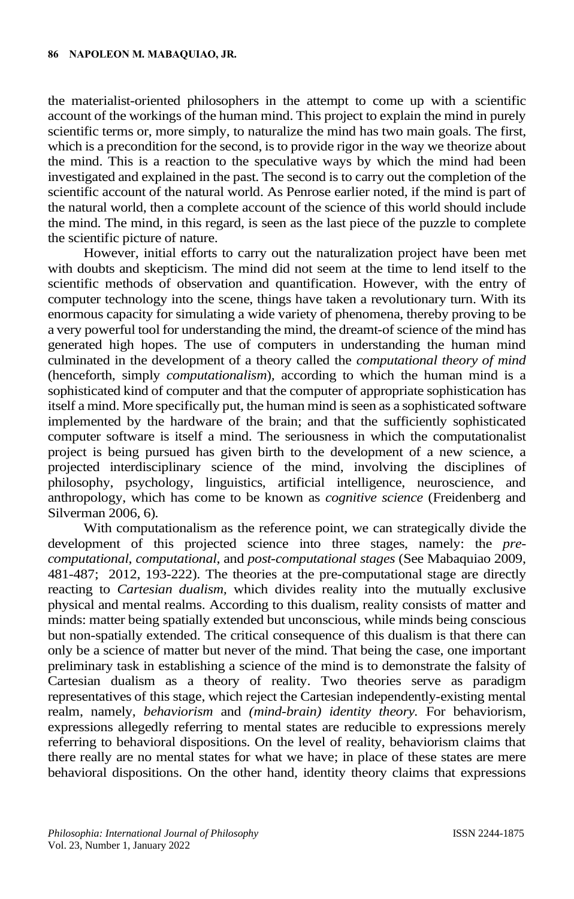the materialist-oriented philosophers in the attempt to come up with a scientific account of the workings of the human mind. This project to explain the mind in purely scientific terms or, more simply, to naturalize the mind has two main goals. The first, which is a precondition for the second, is to provide rigor in the way we theorize about the mind. This is a reaction to the speculative ways by which the mind had been investigated and explained in the past. The second is to carry out the completion of the scientific account of the natural world. As Penrose earlier noted, if the mind is part of the natural world, then a complete account of the science of this world should include the mind. The mind, in this regard, is seen as the last piece of the puzzle to complete the scientific picture of nature.

However, initial efforts to carry out the naturalization project have been met with doubts and skepticism. The mind did not seem at the time to lend itself to the scientific methods of observation and quantification. However, with the entry of computer technology into the scene, things have taken a revolutionary turn. With its enormous capacity for simulating a wide variety of phenomena, thereby proving to be a very powerful tool for understanding the mind, the dreamt-of science of the mind has generated high hopes. The use of computers in understanding the human mind culminated in the development of a theory called the *computational theory of mind*  (henceforth, simply *computationalism*)*,* according to which the human mind is a sophisticated kind of computer and that the computer of appropriate sophistication has itself a mind. More specifically put, the human mind isseen as a sophisticated software implemented by the hardware of the brain; and that the sufficiently sophisticated computer software is itself a mind. The seriousness in which the computationalist project is being pursued has given birth to the development of a new science, a projected interdisciplinary science of the mind, involving the disciplines of philosophy, psychology, linguistics, artificial intelligence, neuroscience, and anthropology, which has come to be known as *cognitive science* (Freidenberg and Silverman 2006, 6)*.*

With computationalism as the reference point, we can strategically divide the development of this projected science into three stages, namely: the *precomputational*, *computational*, and *post-computational stages* (See Mabaquiao 2009, 481-487; 2012, 193-222). The theories at the pre-computational stage are directly reacting to *Cartesian dualism,* which divides reality into the mutually exclusive physical and mental realms. According to this dualism, reality consists of matter and minds: matter being spatially extended but unconscious, while minds being conscious but non-spatially extended. The critical consequence of this dualism is that there can only be a science of matter but never of the mind. That being the case, one important preliminary task in establishing a science of the mind is to demonstrate the falsity of Cartesian dualism as a theory of reality. Two theories serve as paradigm representatives of this stage, which reject the Cartesian independently-existing mental realm, namely, *behaviorism* and *(mind-brain) identity theory.* For behaviorism, expressions allegedly referring to mental states are reducible to expressions merely referring to behavioral dispositions. On the level of reality, behaviorism claims that there really are no mental states for what we have; in place of these states are mere behavioral dispositions. On the other hand, identity theory claims that expressions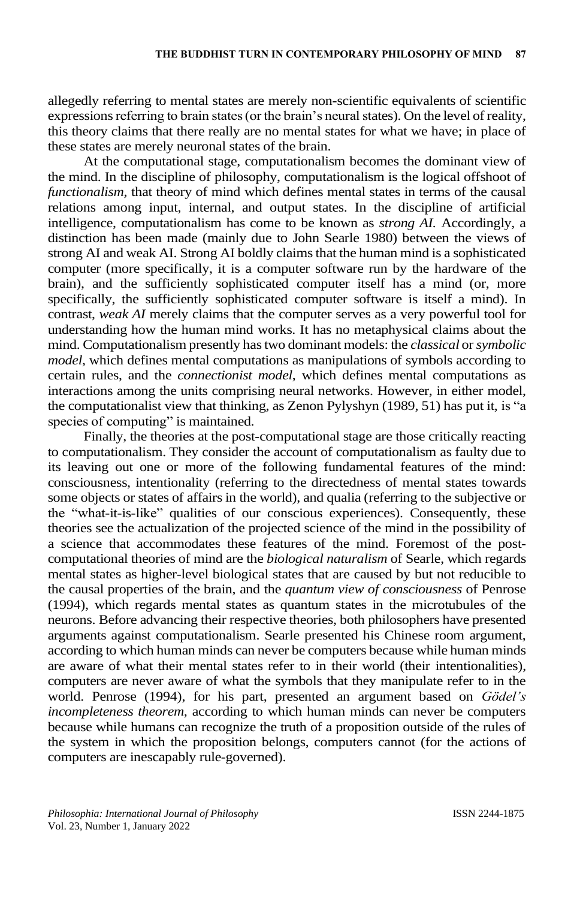allegedly referring to mental states are merely non-scientific equivalents of scientific expressions referring to brain states (or the brain's neural states). On the level of reality, this theory claims that there really are no mental states for what we have; in place of these states are merely neuronal states of the brain.

At the computational stage, computationalism becomes the dominant view of the mind. In the discipline of philosophy, computationalism is the logical offshoot of *functionalism,* that theory of mind which defines mental states in terms of the causal relations among input, internal, and output states. In the discipline of artificial intelligence, computationalism has come to be known as *strong AI.* Accordingly, a distinction has been made (mainly due to John Searle 1980) between the views of strong AI and weak AI. Strong AI boldly claims that the human mind is a sophisticated computer (more specifically, it is a computer software run by the hardware of the brain), and the sufficiently sophisticated computer itself has a mind (or, more specifically, the sufficiently sophisticated computer software is itself a mind). In contrast, *weak AI* merely claims that the computer serves as a very powerful tool for understanding how the human mind works. It has no metaphysical claims about the mind. Computationalism presently has two dominant models: the *classical* or *symbolic model*, which defines mental computations as manipulations of symbols according to certain rules, and the *connectionist model*, which defines mental computations as interactions among the units comprising neural networks. However, in either model, the computationalist view that thinking, as Zenon Pylyshyn (1989, 51) has put it, is "a species of computing" is maintained.

Finally, the theories at the post-computational stage are those critically reacting to computationalism. They consider the account of computationalism as faulty due to its leaving out one or more of the following fundamental features of the mind: consciousness, intentionality (referring to the directedness of mental states towards some objects or states of affairs in the world), and qualia (referring to the subjective or the "what-it-is-like" qualities of our conscious experiences). Consequently, these theories see the actualization of the projected science of the mind in the possibility of a science that accommodates these features of the mind. Foremost of the postcomputational theories of mind are the *biological naturalism* of Searle, which regards mental states as higher-level biological states that are caused by but not reducible to the causal properties of the brain, and the *quantum view of consciousness* of Penrose (1994), which regards mental states as quantum states in the microtubules of the neurons. Before advancing their respective theories, both philosophers have presented arguments against computationalism. Searle presented his Chinese room argument, according to which human minds can never be computers because while human minds are aware of what their mental states refer to in their world (their intentionalities), computers are never aware of what the symbols that they manipulate refer to in the world. Penrose (1994), for his part, presented an argument based on *Gödel's incompleteness theorem,* according to which human minds can never be computers because while humans can recognize the truth of a proposition outside of the rules of the system in which the proposition belongs, computers cannot (for the actions of computers are inescapably rule-governed).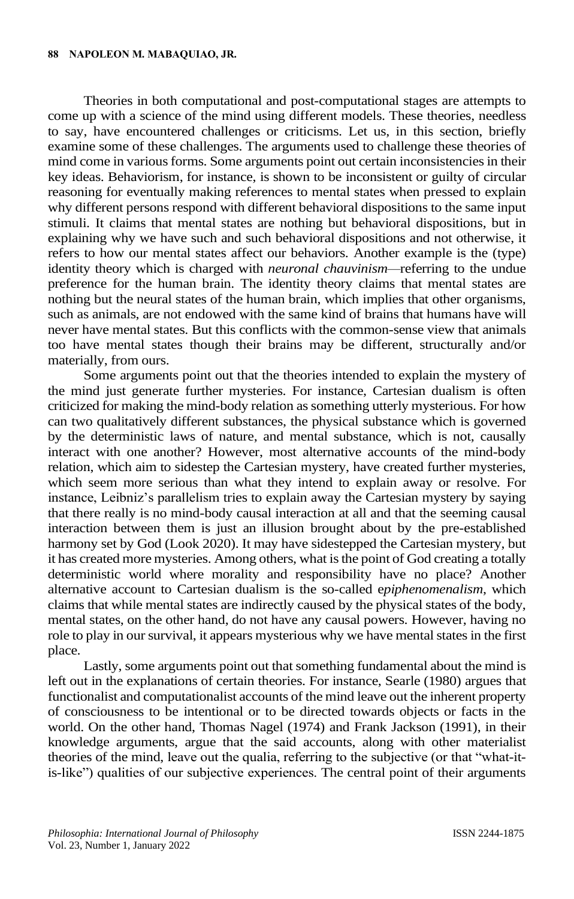Theories in both computational and post-computational stages are attempts to come up with a science of the mind using different models. These theories, needless to say, have encountered challenges or criticisms. Let us, in this section, briefly examine some of these challenges. The arguments used to challenge these theories of mind come in various forms. Some arguments point out certain inconsistencies in their key ideas. Behaviorism, for instance, is shown to be inconsistent or guilty of circular reasoning for eventually making references to mental states when pressed to explain why different persons respond with different behavioral dispositions to the same input stimuli. It claims that mental states are nothing but behavioral dispositions, but in explaining why we have such and such behavioral dispositions and not otherwise, it refers to how our mental states affect our behaviors. Another example is the (type) identity theory which is charged with *neuronal chauvinism—*referring to the undue preference for the human brain. The identity theory claims that mental states are nothing but the neural states of the human brain, which implies that other organisms, such as animals, are not endowed with the same kind of brains that humans have will never have mental states. But this conflicts with the common-sense view that animals too have mental states though their brains may be different, structurally and/or materially, from ours.

Some arguments point out that the theories intended to explain the mystery of the mind just generate further mysteries. For instance, Cartesian dualism is often criticized for making the mind-body relation as something utterly mysterious. For how can two qualitatively different substances, the physical substance which is governed by the deterministic laws of nature, and mental substance, which is not, causally interact with one another? However, most alternative accounts of the mind-body relation, which aim to sidestep the Cartesian mystery, have created further mysteries, which seem more serious than what they intend to explain away or resolve. For instance, Leibniz's parallelism tries to explain away the Cartesian mystery by saying that there really is no mind-body causal interaction at all and that the seeming causal interaction between them is just an illusion brought about by the pre-established harmony set by God (Look 2020). It may have sidestepped the Cartesian mystery, but it has created more mysteries. Among others, what is the point of God creating a totally deterministic world where morality and responsibility have no place? Another alternative account to Cartesian dualism is the so-called e*piphenomenalism*, which claims that while mental states are indirectly caused by the physical states of the body, mental states, on the other hand, do not have any causal powers. However, having no role to play in our survival, it appears mysterious why we have mental states in the first place.

Lastly, some arguments point out that something fundamental about the mind is left out in the explanations of certain theories. For instance, Searle (1980) argues that functionalist and computationalist accounts of the mind leave out the inherent property of consciousness to be intentional or to be directed towards objects or facts in the world. On the other hand, Thomas Nagel (1974) and Frank Jackson (1991), in their knowledge arguments, argue that the said accounts, along with other materialist theories of the mind, leave out the qualia, referring to the subjective (or that "what-itis-like") qualities of our subjective experiences. The central point of their arguments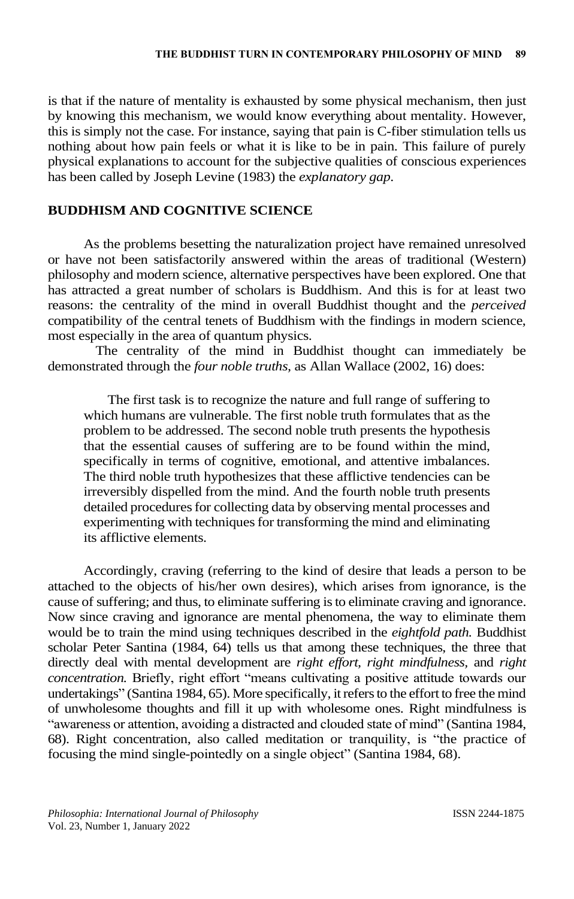is that if the nature of mentality is exhausted by some physical mechanism, then just by knowing this mechanism, we would know everything about mentality. However, this is simply not the case. For instance, saying that pain is C-fiber stimulation tells us nothing about how pain feels or what it is like to be in pain. This failure of purely physical explanations to account for the subjective qualities of conscious experiences has been called by Joseph Levine (1983) the *explanatory gap*.

## **BUDDHISM AND COGNITIVE SCIENCE**

As the problems besetting the naturalization project have remained unresolved or have not been satisfactorily answered within the areas of traditional (Western) philosophy and modern science, alternative perspectives have been explored. One that has attracted a great number of scholars is Buddhism. And this is for at least two reasons: the centrality of the mind in overall Buddhist thought and the *perceived* compatibility of the central tenets of Buddhism with the findings in modern science, most especially in the area of quantum physics.

The centrality of the mind in Buddhist thought can immediately be demonstrated through the *four noble truths,* as Allan Wallace (2002, 16) does:

The first task is to recognize the nature and full range of suffering to which humans are vulnerable. The first noble truth formulates that as the problem to be addressed. The second noble truth presents the hypothesis that the essential causes of suffering are to be found within the mind, specifically in terms of cognitive, emotional, and attentive imbalances. The third noble truth hypothesizes that these afflictive tendencies can be irreversibly dispelled from the mind. And the fourth noble truth presents detailed procedures for collecting data by observing mental processes and experimenting with techniques for transforming the mind and eliminating its afflictive elements.

Accordingly, craving (referring to the kind of desire that leads a person to be attached to the objects of his/her own desires), which arises from ignorance, is the cause of suffering; and thus, to eliminate suffering is to eliminate craving and ignorance. Now since craving and ignorance are mental phenomena, the way to eliminate them would be to train the mind using techniques described in the *eightfold path.* Buddhist scholar Peter Santina (1984, 64) tells us that among these techniques, the three that directly deal with mental development are *right effort, right mindfulness,* and *right concentration.* Briefly, right effort "means cultivating a positive attitude towards our undertakings" (Santina 1984, 65). More specifically, it refers to the effort to free themind of unwholesome thoughts and fill it up with wholesome ones. Right mindfulness is "awareness or attention, avoiding a distracted and clouded state of mind" (Santina 1984, 68). Right concentration, also called meditation or tranquility, is "the practice of focusing the mind single-pointedly on a single object" (Santina 1984, 68).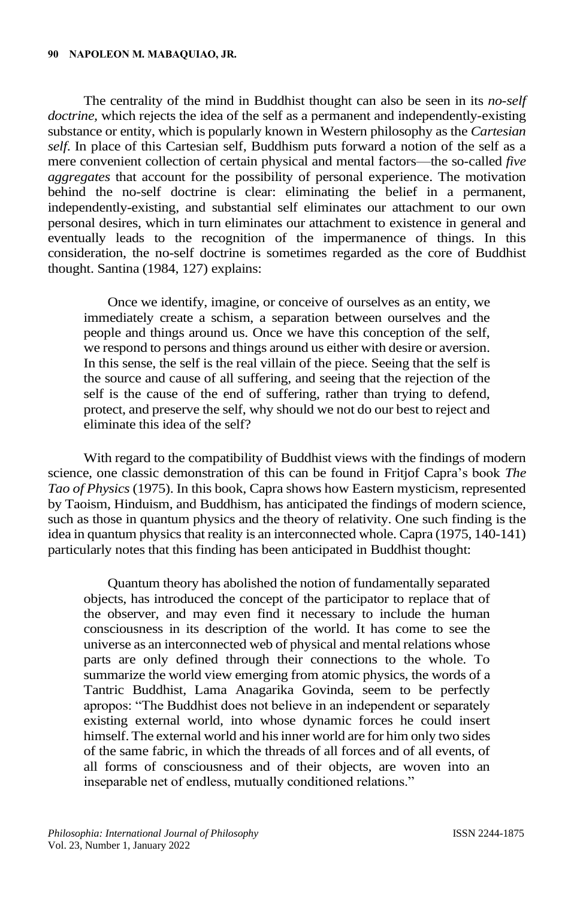#### **90 NAPOLEON M. MABAQUIAO, JR.**

The centrality of the mind in Buddhist thought can also be seen in its *no-self doctrine,* which rejects the idea of the self as a permanent and independently-existing substance or entity, which is popularly known in Western philosophy as the *Cartesian self*. In place of this Cartesian self, Buddhism puts forward a notion of the self as a mere convenient collection of certain physical and mental factors—the so-called *five aggregates* that account for the possibility of personal experience. The motivation behind the no-self doctrine is clear: eliminating the belief in a permanent, independently-existing, and substantial self eliminates our attachment to our own personal desires, which in turn eliminates our attachment to existence in general and eventually leads to the recognition of the impermanence of things. In this consideration, the no-self doctrine is sometimes regarded as the core of Buddhist thought. Santina (1984, 127) explains:

Once we identify, imagine, or conceive of ourselves as an entity, we immediately create a schism, a separation between ourselves and the people and things around us. Once we have this conception of the self, we respond to persons and things around us either with desire or aversion. In this sense, the self is the real villain of the piece. Seeing that the self is the source and cause of all suffering, and seeing that the rejection of the self is the cause of the end of suffering, rather than trying to defend, protect, and preserve the self, why should we not do our best to reject and eliminate this idea of the self?

With regard to the compatibility of Buddhist views with the findings of modern science, one classic demonstration of this can be found in Fritjof Capra's book *The Tao of Physics* (1975). In this book, Capra shows how Eastern mysticism, represented by Taoism, Hinduism, and Buddhism, has anticipated the findings of modern science, such as those in quantum physics and the theory of relativity. One such finding is the idea in quantum physics that reality is an interconnected whole. Capra (1975, 140-141) particularly notes that this finding has been anticipated in Buddhist thought:

Quantum theory has abolished the notion of fundamentally separated objects, has introduced the concept of the participator to replace that of the observer, and may even find it necessary to include the human consciousness in its description of the world. It has come to see the universe as an interconnected web of physical and mental relations whose parts are only defined through their connections to the whole. To summarize the world view emerging from atomic physics, the words of a Tantric Buddhist, Lama Anagarika Govinda, seem to be perfectly apropos: "The Buddhist does not believe in an independent or separately existing external world, into whose dynamic forces he could insert himself. The external world and his inner world are for him only two sides of the same fabric, in which the threads of all forces and of all events, of all forms of consciousness and of their objects, are woven into an inseparable net of endless, mutually conditioned relations."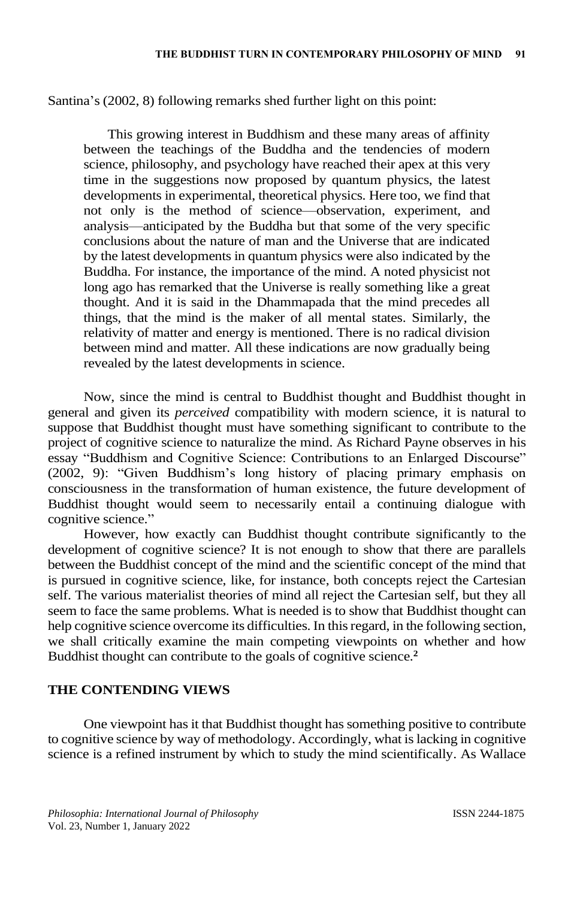Santina's (2002, 8) following remarks shed further light on this point:

This growing interest in Buddhism and these many areas of affinity between the teachings of the Buddha and the tendencies of modern science, philosophy, and psychology have reached their apex at this very time in the suggestions now proposed by quantum physics, the latest developments in experimental, theoretical physics. Here too, we find that not only is the method of science—observation, experiment, and analysis—anticipated by the Buddha but that some of the very specific conclusions about the nature of man and the Universe that are indicated by the latest developments in quantum physics were also indicated by the Buddha. For instance, the importance of the mind. A noted physicist not long ago has remarked that the Universe is really something like a great thought. And it is said in the Dhammapada that the mind precedes all things, that the mind is the maker of all mental states. Similarly, the relativity of matter and energy is mentioned. There is no radical division between mind and matter. All these indications are now gradually being revealed by the latest developments in science.

Now, since the mind is central to Buddhist thought and Buddhist thought in general and given its *perceived* compatibility with modern science, it is natural to suppose that Buddhist thought must have something significant to contribute to the project of cognitive science to naturalize the mind. As Richard Payne observes in his essay "Buddhism and Cognitive Science: Contributions to an Enlarged Discourse" (2002, 9): "Given Buddhism's long history of placing primary emphasis on consciousness in the transformation of human existence, the future development of Buddhist thought would seem to necessarily entail a continuing dialogue with cognitive science."

However, how exactly can Buddhist thought contribute significantly to the development of cognitive science? It is not enough to show that there are parallels between the Buddhist concept of the mind and the scientific concept of the mind that is pursued in cognitive science, like, for instance, both concepts reject the Cartesian self. The various materialist theories of mind all reject the Cartesian self, but they all seem to face the same problems. What is needed is to show that Buddhist thought can help cognitive science overcome its difficulties. In this regard, in the following section, we shall critically examine the main competing viewpoints on whether and how Buddhist thought can contribute to the goals of cognitive science.**<sup>2</sup>**

## **THE CONTENDING VIEWS**

One viewpoint has it that Buddhist thought has something positive to contribute to cognitive science by way of methodology. Accordingly, what is lacking in cognitive science is a refined instrument by which to study the mind scientifically. As Wallace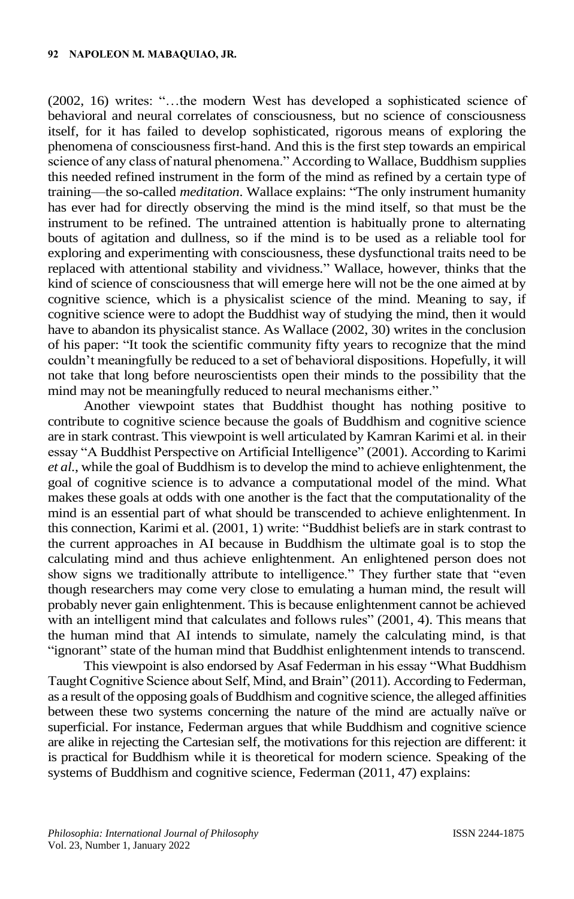(2002, 16) writes: "…the modern West has developed a sophisticated science of behavioral and neural correlates of consciousness, but no science of consciousness itself, for it has failed to develop sophisticated, rigorous means of exploring the phenomena of consciousness first-hand. And this is the first step towards an empirical science of any class of natural phenomena." According to Wallace, Buddhism supplies this needed refined instrument in the form of the mind as refined by a certain type of training—the so-called *meditation*. Wallace explains: "The only instrument humanity has ever had for directly observing the mind is the mind itself, so that must be the instrument to be refined. The untrained attention is habitually prone to alternating bouts of agitation and dullness, so if the mind is to be used as a reliable tool for exploring and experimenting with consciousness, these dysfunctional traits need to be replaced with attentional stability and vividness." Wallace, however, thinks that the kind of science of consciousness that will emerge here will not be the one aimed at by cognitive science, which is a physicalist science of the mind. Meaning to say, if cognitive science were to adopt the Buddhist way of studying the mind, then it would have to abandon its physicalist stance. As Wallace (2002, 30) writes in the conclusion of his paper: "It took the scientific community fifty years to recognize that the mind couldn't meaningfully be reduced to a set of behavioral dispositions. Hopefully, it will not take that long before neuroscientists open their minds to the possibility that the mind may not be meaningfully reduced to neural mechanisms either."

Another viewpoint states that Buddhist thought has nothing positive to contribute to cognitive science because the goals of Buddhism and cognitive science are in stark contrast. This viewpoint is well articulated by Kamran Karimi et al*.* in their essay "A Buddhist Perspective on Artificial Intelligence" (2001). According to Karimi *et al*., while the goal of Buddhism is to develop the mind to achieve enlightenment, the goal of cognitive science is to advance a computational model of the mind. What makes these goals at odds with one another is the fact that the computationality of the mind is an essential part of what should be transcended to achieve enlightenment. In this connection, Karimi et al. (2001, 1) write: "Buddhist beliefs are in stark contrast to the current approaches in AI because in Buddhism the ultimate goal is to stop the calculating mind and thus achieve enlightenment. An enlightened person does not show signs we traditionally attribute to intelligence." They further state that "even though researchers may come very close to emulating a human mind, the result will probably never gain enlightenment. This is because enlightenment cannot be achieved with an intelligent mind that calculates and follows rules" (2001, 4). This means that the human mind that AI intends to simulate, namely the calculating mind, is that "ignorant" state of the human mind that Buddhist enlightenment intends to transcend.

This viewpoint is also endorsed by Asaf Federman in his essay "What Buddhism Taught Cognitive Science about Self, Mind, and Brain" (2011). According to Federman, as a result of the opposing goals of Buddhism and cognitive science, the alleged affinities between these two systems concerning the nature of the mind are actually naïve or superficial. For instance, Federman argues that while Buddhism and cognitive science are alike in rejecting the Cartesian self, the motivations for this rejection are different: it is practical for Buddhism while it is theoretical for modern science. Speaking of the systems of Buddhism and cognitive science, Federman (2011, 47) explains: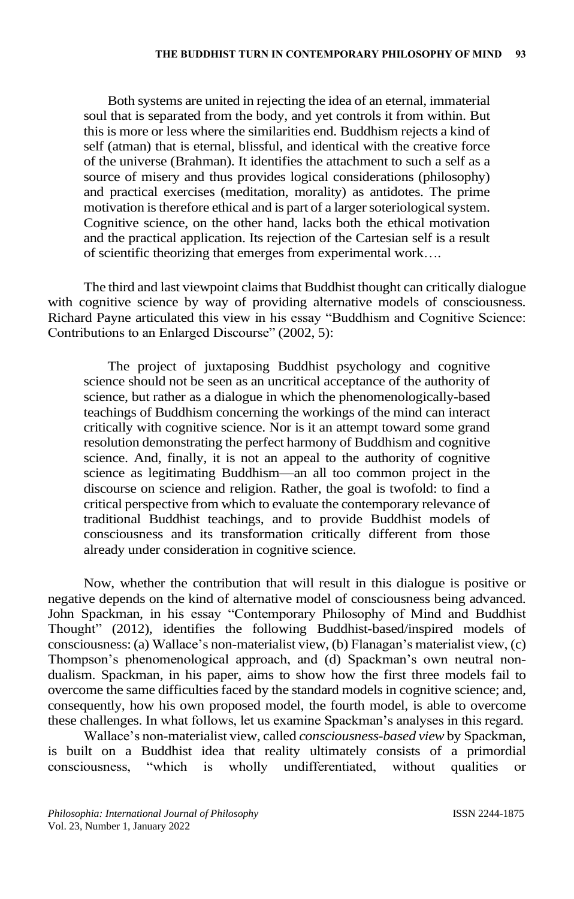Both systems are united in rejecting the idea of an eternal, immaterial soul that is separated from the body, and yet controls it from within. But this is more or less where the similarities end. Buddhism rejects a kind of self (atman) that is eternal, blissful, and identical with the creative force of the universe (Brahman). It identifies the attachment to such a self as a source of misery and thus provides logical considerations (philosophy) and practical exercises (meditation, morality) as antidotes. The prime motivation is therefore ethical and is part of a larger soteriological system. Cognitive science, on the other hand, lacks both the ethical motivation and the practical application. Its rejection of the Cartesian self is a result of scientific theorizing that emerges from experimental work….

The third and last viewpoint claims that Buddhist thought can critically dialogue with cognitive science by way of providing alternative models of consciousness. Richard Payne articulated this view in his essay "Buddhism and Cognitive Science: Contributions to an Enlarged Discourse" (2002, 5):

The project of juxtaposing Buddhist psychology and cognitive science should not be seen as an uncritical acceptance of the authority of science, but rather as a dialogue in which the phenomenologically-based teachings of Buddhism concerning the workings of the mind can interact critically with cognitive science. Nor is it an attempt toward some grand resolution demonstrating the perfect harmony of Buddhism and cognitive science. And, finally, it is not an appeal to the authority of cognitive science as legitimating Buddhism—an all too common project in the discourse on science and religion. Rather, the goal is twofold: to find a critical perspective from which to evaluate the contemporary relevance of traditional Buddhist teachings, and to provide Buddhist models of consciousness and its transformation critically different from those already under consideration in cognitive science.

Now, whether the contribution that will result in this dialogue is positive or negative depends on the kind of alternative model of consciousness being advanced. John Spackman, in his essay "Contemporary Philosophy of Mind and Buddhist Thought" (2012), identifies the following Buddhist-based/inspired models of consciousness: (a) Wallace's non-materialist view, (b) Flanagan's materialist view, (c) Thompson's phenomenological approach, and (d) Spackman's own neutral nondualism. Spackman, in his paper, aims to show how the first three models fail to overcome the same difficulties faced by the standard models in cognitive science; and, consequently, how his own proposed model, the fourth model, is able to overcome these challenges. In what follows, let us examine Spackman's analyses in this regard.

Wallace's non-materialist view, called *consciousness-based view* by Spackman, is built on a Buddhist idea that reality ultimately consists of a primordial consciousness, "which is wholly undifferentiated, without qualities or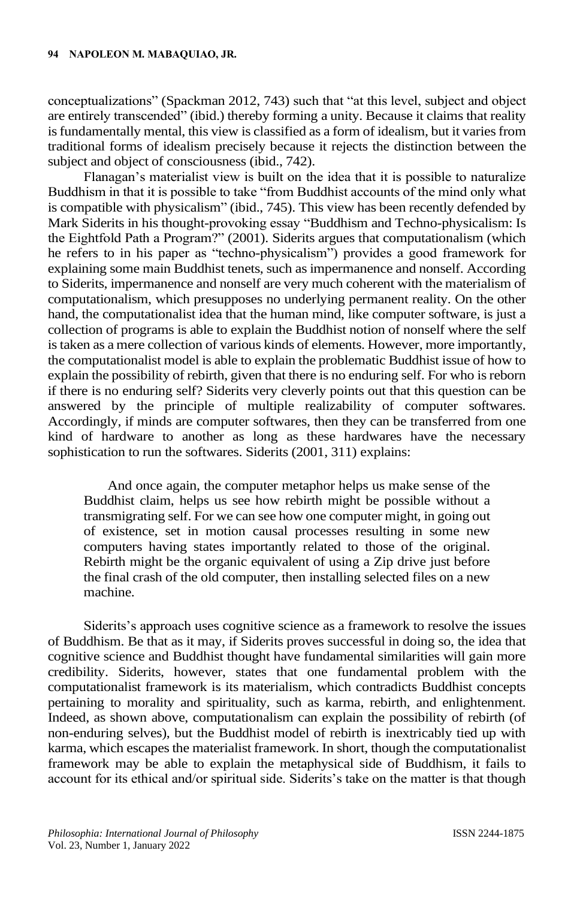conceptualizations" (Spackman 2012, 743) such that "at this level, subject and object are entirely transcended" (ibid.) thereby forming a unity. Because it claims that reality is fundamentally mental, this view is classified as a form of idealism, but it varies from traditional forms of idealism precisely because it rejects the distinction between the subject and object of consciousness (ibid., 742).

Flanagan's materialist view is built on the idea that it is possible to naturalize Buddhism in that it is possible to take "from Buddhist accounts of the mind only what is compatible with physicalism" (ibid., 745). This view has been recently defended by Mark Siderits in his thought-provoking essay "Buddhism and Techno-physicalism: Is the Eightfold Path a Program?" (2001). Siderits argues that computationalism (which he refers to in his paper as "techno-physicalism") provides a good framework for explaining some main Buddhist tenets, such as impermanence and nonself. According to Siderits, impermanence and nonself are very much coherent with the materialism of computationalism, which presupposes no underlying permanent reality. On the other hand, the computationalist idea that the human mind, like computer software, is just a collection of programs is able to explain the Buddhist notion of nonself where the self is taken as a mere collection of various kinds of elements. However, more importantly, the computationalist model is able to explain the problematic Buddhist issue of how to explain the possibility of rebirth, given that there is no enduring self. For who is reborn if there is no enduring self? Siderits very cleverly points out that this question can be answered by the principle of multiple realizability of computer softwares. Accordingly, if minds are computer softwares, then they can be transferred from one kind of hardware to another as long as these hardwares have the necessary sophistication to run the softwares. Siderits (2001, 311) explains:

And once again, the computer metaphor helps us make sense of the Buddhist claim, helps us see how rebirth might be possible without a transmigrating self. For we can see how one computer might, in going out of existence, set in motion causal processes resulting in some new computers having states importantly related to those of the original. Rebirth might be the organic equivalent of using a Zip drive just before the final crash of the old computer, then installing selected files on a new machine.

Siderits's approach uses cognitive science as a framework to resolve the issues of Buddhism. Be that as it may, if Siderits proves successful in doing so, the idea that cognitive science and Buddhist thought have fundamental similarities will gain more credibility. Siderits, however, states that one fundamental problem with the computationalist framework is its materialism, which contradicts Buddhist concepts pertaining to morality and spirituality, such as karma, rebirth, and enlightenment. Indeed, as shown above, computationalism can explain the possibility of rebirth (of non-enduring selves), but the Buddhist model of rebirth is inextricably tied up with karma, which escapes the materialist framework. In short, though the computationalist framework may be able to explain the metaphysical side of Buddhism, it fails to account for its ethical and/or spiritual side. Siderits's take on the matter is that though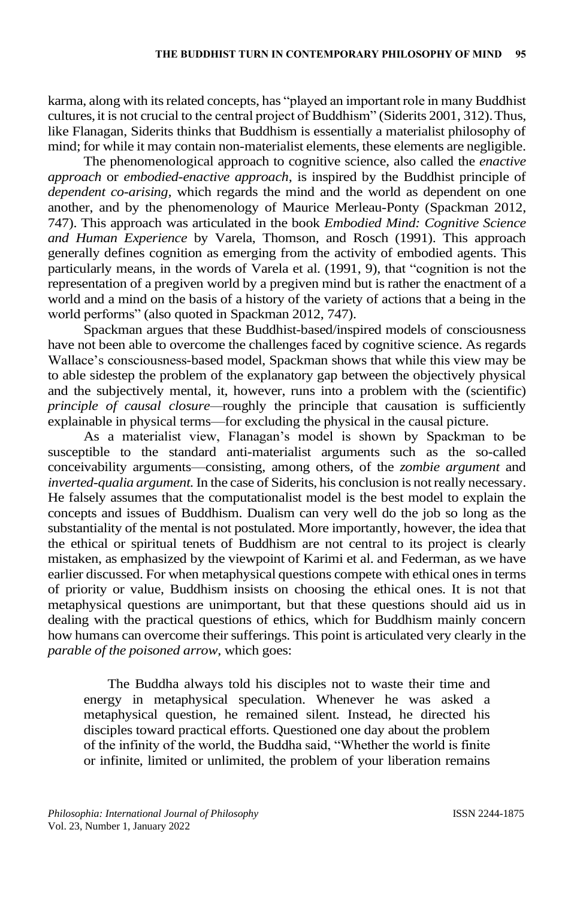karma, along with its related concepts, has "played an important role in many Buddhist cultures, it is not crucial to the central project of Buddhism" (Siderits 2001, 312). Thus, like Flanagan, Siderits thinks that Buddhism is essentially a materialist philosophy of mind; for while it may contain non-materialist elements, these elements are negligible.

The phenomenological approach to cognitive science, also called the *enactive approach* or *embodied-enactive approach*, is inspired by the Buddhist principle of *dependent co-arising,* which regards the mind and the world as dependent on one another, and by the phenomenology of Maurice Merleau-Ponty (Spackman 2012, 747). This approach was articulated in the book *Embodied Mind: Cognitive Science and Human Experience* by Varela, Thomson, and Rosch (1991). This approach generally defines cognition as emerging from the activity of embodied agents. This particularly means, in the words of Varela et al. (1991, 9), that "cognition is not the representation of a pregiven world by a pregiven mind but is rather the enactment of a world and a mind on the basis of a history of the variety of actions that a being in the world performs" (also quoted in Spackman 2012, 747).

Spackman argues that these Buddhist-based/inspired models of consciousness have not been able to overcome the challenges faced by cognitive science. As regards Wallace's consciousness-based model, Spackman shows that while this view may be to able sidestep the problem of the explanatory gap between the objectively physical and the subjectively mental, it, however, runs into a problem with the (scientific) *principle of causal closure—*roughly the principle that causation is sufficiently explainable in physical terms—for excluding the physical in the causal picture.

As a materialist view, Flanagan's model is shown by Spackman to be susceptible to the standard anti-materialist arguments such as the so-called conceivability arguments—consisting, among others, of the *zombie argument* and *inverted-qualia argument.*In the case of Siderits, his conclusion is notreally necessary. He falsely assumes that the computationalist model is the best model to explain the concepts and issues of Buddhism. Dualism can very well do the job so long as the substantiality of the mental is not postulated. More importantly, however, the idea that the ethical or spiritual tenets of Buddhism are not central to its project is clearly mistaken, as emphasized by the viewpoint of Karimi et al. and Federman, as we have earlier discussed. For when metaphysical questions compete with ethical ones in terms of priority or value, Buddhism insists on choosing the ethical ones. It is not that metaphysical questions are unimportant, but that these questions should aid us in dealing with the practical questions of ethics, which for Buddhism mainly concern how humans can overcome their sufferings. This point is articulated very clearly in the *parable of the poisoned arrow*, which goes:

The Buddha always told his disciples not to waste their time and energy in metaphysical speculation. Whenever he was asked a metaphysical question, he remained silent. Instead, he directed his disciples toward practical efforts. Questioned one day about the problem of the infinity of the world, the Buddha said, "Whether the world is finite or infinite, limited or unlimited, the problem of your liberation remains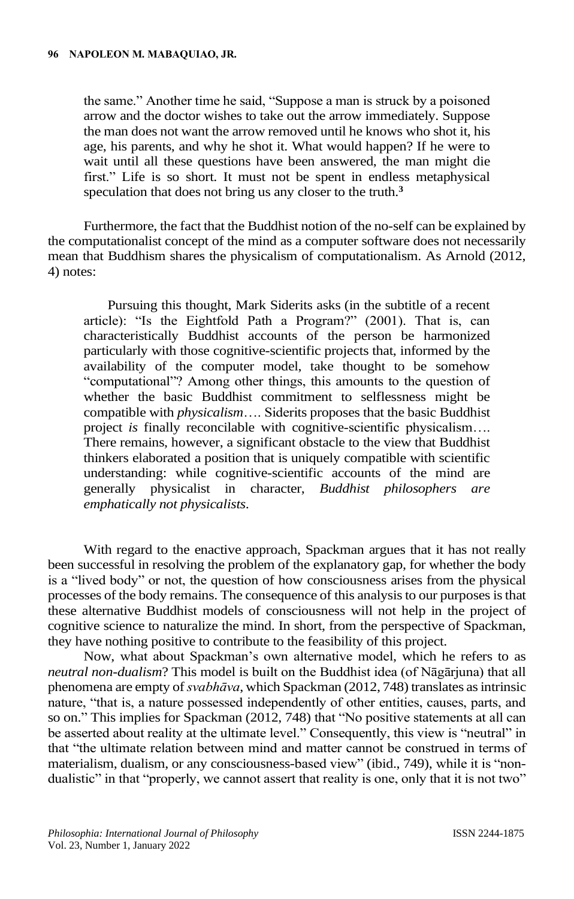the same." Another time he said, "Suppose a man is struck by a poisoned arrow and the doctor wishes to take out the arrow immediately. Suppose the man does not want the arrow removed until he knows who shot it, his age, his parents, and why he shot it. What would happen? If he were to wait until all these questions have been answered, the man might die first." Life is so short. It must not be spent in endless metaphysical speculation that does not bring us any closer to the truth.**<sup>3</sup>**

Furthermore, the fact that the Buddhist notion of the no-self can be explained by the computationalist concept of the mind as a computer software does not necessarily mean that Buddhism shares the physicalism of computationalism. As Arnold (2012, 4) notes:

Pursuing this thought, Mark Siderits asks (in the subtitle of a recent article): "Is the Eightfold Path a Program?" (2001). That is, can characteristically Buddhist accounts of the person be harmonized particularly with those cognitive-scientific projects that, informed by the availability of the computer model, take thought to be somehow "computational"? Among other things, this amounts to the question of whether the basic Buddhist commitment to selflessness might be compatible with *physicalism*…. Siderits proposes that the basic Buddhist project *is* finally reconcilable with cognitive-scientific physicalism…. There remains, however, a significant obstacle to the view that Buddhist thinkers elaborated a position that is uniquely compatible with scientific understanding: while cognitive-scientific accounts of the mind are generally physicalist in character, *Buddhist philosophers are emphatically not physicalists*.

With regard to the enactive approach, Spackman argues that it has not really been successful in resolving the problem of the explanatory gap, for whether the body is a "lived body" or not, the question of how consciousness arises from the physical processes of the body remains. The consequence of this analysisto our purposes is that these alternative Buddhist models of consciousness will not help in the project of cognitive science to naturalize the mind. In short, from the perspective of Spackman, they have nothing positive to contribute to the feasibility of this project.

Now, what about Spackman's own alternative model, which he refers to as *neutral non-dualism*? This model is built on the Buddhist idea (of Nāgārjuna) that all phenomena are empty of *svabhāva*, which Spackman (2012, 748) translates as intrinsic nature, "that is, a nature possessed independently of other entities, causes, parts, and so on." This implies for Spackman (2012, 748) that "No positive statements at all can be asserted about reality at the ultimate level." Consequently, this view is "neutral" in that "the ultimate relation between mind and matter cannot be construed in terms of materialism, dualism, or any consciousness-based view" (ibid., 749), while it is "nondualistic" in that "properly, we cannot assert that reality is one, only that it is not two"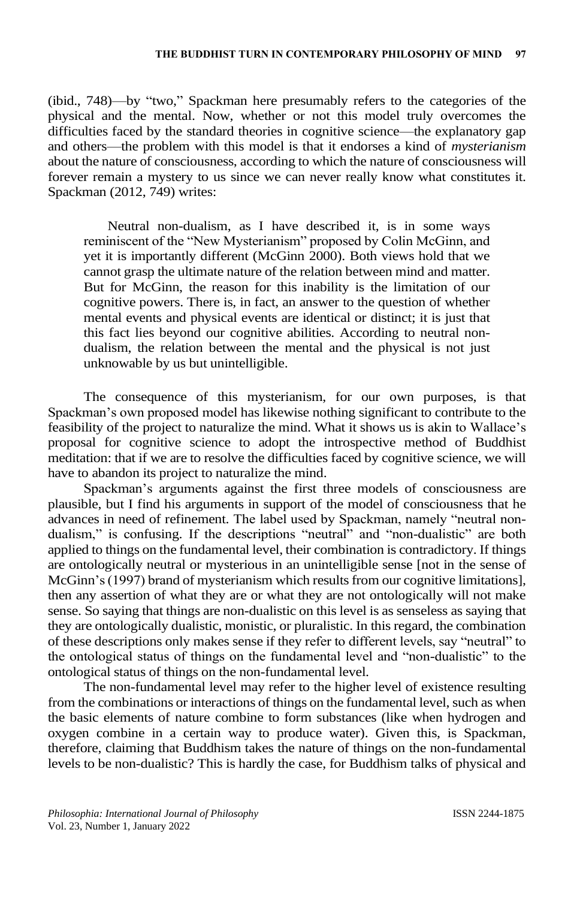(ibid., 748)—by "two," Spackman here presumably refers to the categories of the physical and the mental. Now, whether or not this model truly overcomes the difficulties faced by the standard theories in cognitive science—the explanatory gap and others—the problem with this model is that it endorses a kind of *mysterianism* about the nature of consciousness, according to which the nature of consciousness will forever remain a mystery to us since we can never really know what constitutes it. Spackman (2012, 749) writes:

Neutral non-dualism, as I have described it, is in some ways reminiscent of the "New Mysterianism" proposed by Colin McGinn, and yet it is importantly different (McGinn 2000). Both views hold that we cannot grasp the ultimate nature of the relation between mind and matter. But for McGinn, the reason for this inability is the limitation of our cognitive powers. There is, in fact, an answer to the question of whether mental events and physical events are identical or distinct; it is just that this fact lies beyond our cognitive abilities. According to neutral nondualism, the relation between the mental and the physical is not just unknowable by us but unintelligible.

The consequence of this mysterianism, for our own purposes, is that Spackman's own proposed model has likewise nothing significant to contribute to the feasibility of the project to naturalize the mind. What it shows us is akin to Wallace's proposal for cognitive science to adopt the introspective method of Buddhist meditation: that if we are to resolve the difficulties faced by cognitive science, we will have to abandon its project to naturalize the mind.

Spackman's arguments against the first three models of consciousness are plausible, but I find his arguments in support of the model of consciousness that he advances in need of refinement. The label used by Spackman, namely "neutral nondualism," is confusing. If the descriptions "neutral" and "non-dualistic" are both applied to things on the fundamental level, their combination is contradictory. If things are ontologically neutral or mysterious in an unintelligible sense [not in the sense of McGinn's (1997) brand of mysterianism which results from our cognitive limitations], then any assertion of what they are or what they are not ontologically will not make sense. So saying that things are non-dualistic on this level is as senseless as saying that they are ontologically dualistic, monistic, or pluralistic. In this regard, the combination of these descriptions only makes sense if they refer to different levels, say "neutral" to the ontological status of things on the fundamental level and "non-dualistic" to the ontological status of things on the non-fundamental level.

The non-fundamental level may refer to the higher level of existence resulting from the combinations or interactions of things on the fundamental level, such as when the basic elements of nature combine to form substances (like when hydrogen and oxygen combine in a certain way to produce water). Given this, is Spackman, therefore, claiming that Buddhism takes the nature of things on the non-fundamental levels to be non-dualistic? This is hardly the case, for Buddhism talks of physical and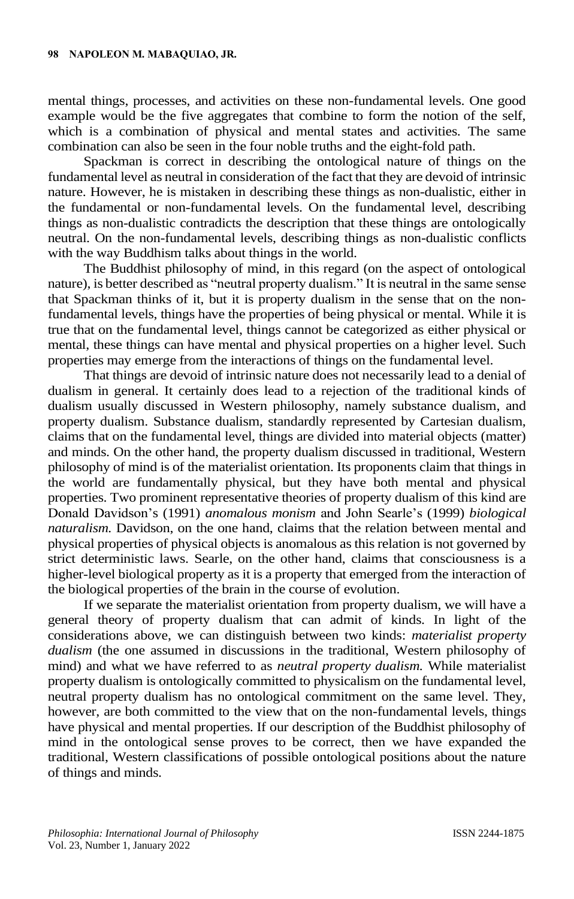mental things, processes, and activities on these non-fundamental levels. One good example would be the five aggregates that combine to form the notion of the self, which is a combination of physical and mental states and activities. The same combination can also be seen in the four noble truths and the eight-fold path.

Spackman is correct in describing the ontological nature of things on the fundamental level as neutral in consideration of the fact that they are devoid of intrinsic nature. However, he is mistaken in describing these things as non-dualistic, either in the fundamental or non-fundamental levels. On the fundamental level, describing things as non-dualistic contradicts the description that these things are ontologically neutral. On the non-fundamental levels, describing things as non-dualistic conflicts with the way Buddhism talks about things in the world.

The Buddhist philosophy of mind, in this regard (on the aspect of ontological nature), is better described as "neutral property dualism." It is neutral in the same sense that Spackman thinks of it, but it is property dualism in the sense that on the nonfundamental levels, things have the properties of being physical or mental. While it is true that on the fundamental level, things cannot be categorized as either physical or mental, these things can have mental and physical properties on a higher level. Such properties may emerge from the interactions of things on the fundamental level.

That things are devoid of intrinsic nature does not necessarily lead to a denial of dualism in general. It certainly does lead to a rejection of the traditional kinds of dualism usually discussed in Western philosophy, namely substance dualism, and property dualism. Substance dualism, standardly represented by Cartesian dualism, claims that on the fundamental level, things are divided into material objects (matter) and minds. On the other hand, the property dualism discussed in traditional, Western philosophy of mind is of the materialist orientation. Its proponents claim that things in the world are fundamentally physical, but they have both mental and physical properties. Two prominent representative theories of property dualism of this kind are Donald Davidson's (1991) *anomalous monism* and John Searle's (1999) *biological naturalism.* Davidson, on the one hand, claims that the relation between mental and physical properties of physical objects is anomalous as this relation is not governed by strict deterministic laws. Searle, on the other hand, claims that consciousness is a higher-level biological property as it is a property that emerged from the interaction of the biological properties of the brain in the course of evolution.

If we separate the materialist orientation from property dualism, we will have a general theory of property dualism that can admit of kinds. In light of the considerations above, we can distinguish between two kinds: *materialist property dualism* (the one assumed in discussions in the traditional, Western philosophy of mind) and what we have referred to as *neutral property dualism.* While materialist property dualism is ontologically committed to physicalism on the fundamental level, neutral property dualism has no ontological commitment on the same level. They, however, are both committed to the view that on the non-fundamental levels, things have physical and mental properties. If our description of the Buddhist philosophy of mind in the ontological sense proves to be correct, then we have expanded the traditional, Western classifications of possible ontological positions about the nature of things and minds.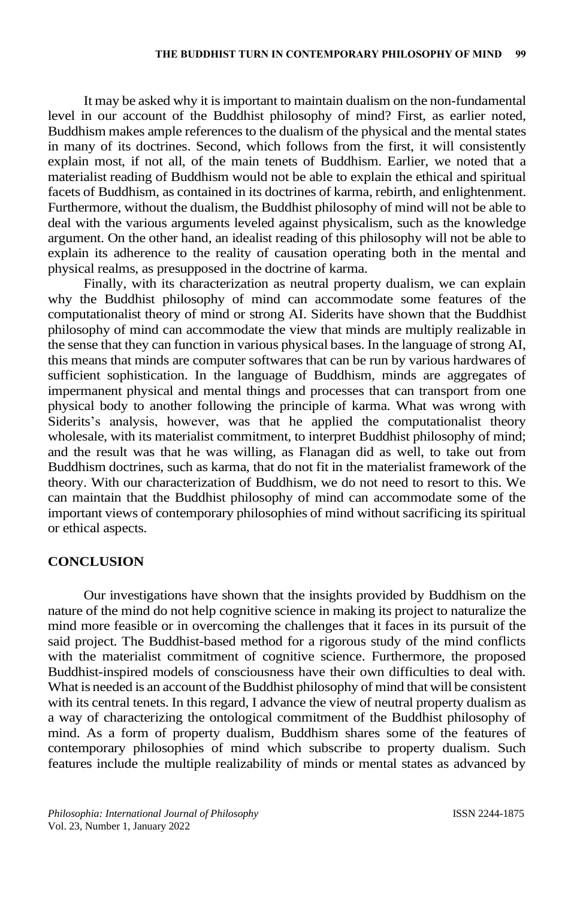It may be asked why it is important to maintain dualism on the non-fundamental level in our account of the Buddhist philosophy of mind? First, as earlier noted, Buddhism makes ample references to the dualism of the physical and the mental states in many of its doctrines. Second, which follows from the first, it will consistently explain most, if not all, of the main tenets of Buddhism. Earlier, we noted that a materialist reading of Buddhism would not be able to explain the ethical and spiritual facets of Buddhism, as contained in its doctrines of karma, rebirth, and enlightenment. Furthermore, without the dualism, the Buddhist philosophy of mind will not be able to deal with the various arguments leveled against physicalism, such as the knowledge argument. On the other hand, an idealist reading of this philosophy will not be able to explain its adherence to the reality of causation operating both in the mental and physical realms, as presupposed in the doctrine of karma.

Finally, with its characterization as neutral property dualism, we can explain why the Buddhist philosophy of mind can accommodate some features of the computationalist theory of mind or strong AI. Siderits have shown that the Buddhist philosophy of mind can accommodate the view that minds are multiply realizable in the sense that they can function in various physical bases. In the language of strong AI, this means that minds are computer softwares that can be run by various hardwares of sufficient sophistication. In the language of Buddhism, minds are aggregates of impermanent physical and mental things and processes that can transport from one physical body to another following the principle of karma. What was wrong with Siderits's analysis, however, was that he applied the computationalist theory wholesale, with its materialist commitment, to interpret Buddhist philosophy of mind; and the result was that he was willing, as Flanagan did as well, to take out from Buddhism doctrines, such as karma, that do not fit in the materialist framework of the theory. With our characterization of Buddhism, we do not need to resort to this. We can maintain that the Buddhist philosophy of mind can accommodate some of the important views of contemporary philosophies of mind without sacrificing its spiritual or ethical aspects.

## **CONCLUSION**

Our investigations have shown that the insights provided by Buddhism on the nature of the mind do not help cognitive science in making its project to naturalize the mind more feasible or in overcoming the challenges that it faces in its pursuit of the said project. The Buddhist-based method for a rigorous study of the mind conflicts with the materialist commitment of cognitive science. Furthermore, the proposed Buddhist-inspired models of consciousness have their own difficulties to deal with. What is needed is an account of the Buddhist philosophy of mind that will be consistent with its central tenets. In this regard, I advance the view of neutral property dualism as a way of characterizing the ontological commitment of the Buddhist philosophy of mind. As a form of property dualism, Buddhism shares some of the features of contemporary philosophies of mind which subscribe to property dualism. Such features include the multiple realizability of minds or mental states as advanced by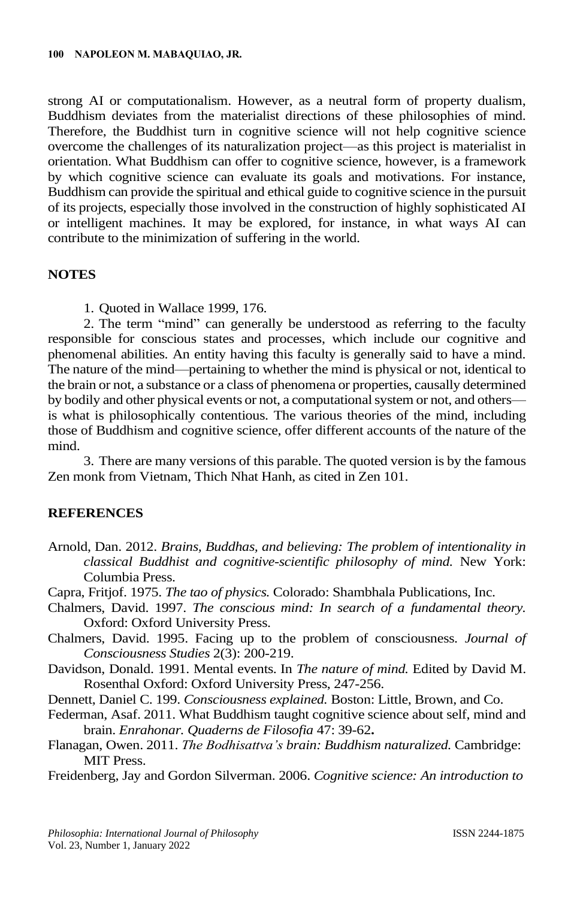strong AI or computationalism. However, as a neutral form of property dualism, Buddhism deviates from the materialist directions of these philosophies of mind. Therefore, the Buddhist turn in cognitive science will not help cognitive science overcome the challenges of its naturalization project—as this project is materialist in orientation. What Buddhism can offer to cognitive science, however, is a framework by which cognitive science can evaluate its goals and motivations. For instance, Buddhism can provide the spiritual and ethical guide to cognitive science in the pursuit of its projects, especially those involved in the construction of highly sophisticated AI or intelligent machines. It may be explored, for instance, in what ways AI can contribute to the minimization of suffering in the world.

## **NOTES**

1. Quoted in Wallace 1999, 176.

2. The term "mind" can generally be understood as referring to the faculty responsible for conscious states and processes, which include our cognitive and phenomenal abilities. An entity having this faculty is generally said to have a mind. The nature of the mind—pertaining to whether the mind is physical or not, identical to the brain or not, a substance or a class of phenomena or properties, causally determined by bodily and other physical events or not, a computational system or not, and others is what is philosophically contentious. The various theories of the mind, including those of Buddhism and cognitive science, offer different accounts of the nature of the mind.

3. There are many versions of this parable. The quoted version is by the famous Zen monk from Vietnam, Thich Nhat Hanh, as cited in Zen 101.

### **REFERENCES**

Arnold, Dan. 2012. *Brains, Buddhas, and believing: The problem of intentionality in classical Buddhist and cognitive-scientific philosophy of mind.* New York: Columbia Press.

Capra, Fritjof. 1975. *The tao of physics.* Colorado: Shambhala Publications, Inc.

- Chalmers, David. 1997. *The conscious mind: In search of a fundamental theory.* Oxford: Oxford University Press.
- Chalmers, David. 1995. Facing up to the problem of consciousness. *Journal of Consciousness Studies* 2(3): 200-219.
- Davidson, Donald. 1991. Mental events. In *The nature of mind.* Edited by David M. Rosenthal Oxford: Oxford University Press, 247-256.
- Dennett, Daniel C. 199. *Consciousness explained.* Boston: Little, Brown, and Co.
- Federman, Asaf. 2011. What Buddhism taught cognitive science about self, mind and brain. *Enrahonar. Quaderns de Filosofia* 47: 39-62**.**
- Flanagan, Owen. 2011. *The Bodhisattva's brain: Buddhism naturalized.* Cambridge: MIT Press.

Freidenberg, Jay and Gordon Silverman. 2006. *Cognitive science: An introduction to*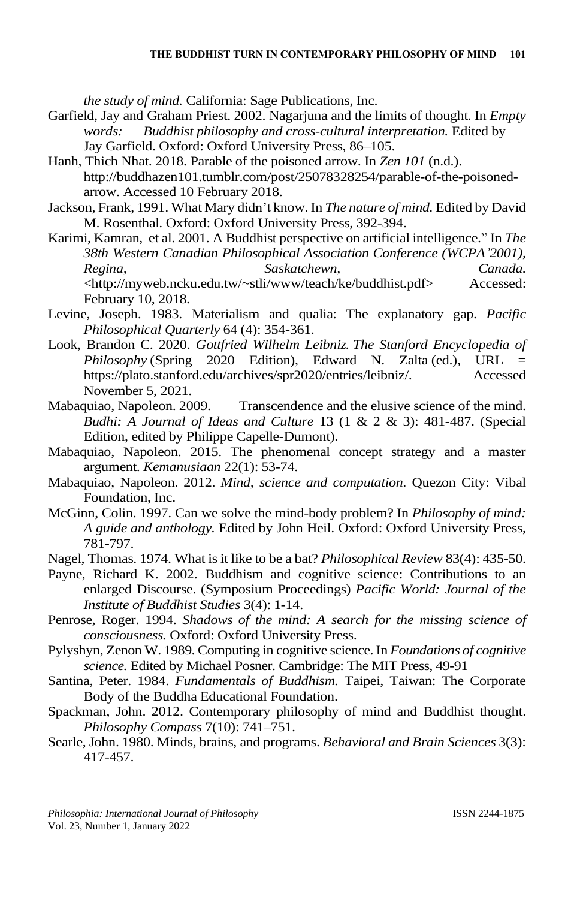*the study of mind.* California: Sage Publications, Inc.

- Garfield, Jay and Graham Priest. 2002. Nagarjuna and the limits of thought. In *Empty words: Buddhist philosophy and cross-cultural interpretation.* Edited by Jay Garfield. Oxford: Oxford University Press, 86–105.
- Hanh, Thich Nhat. 2018. Parable of the poisoned arrow. In *Zen 101* (n.d.). http://buddhazen101.tumblr.com/post/25078328254/parable-of-the-poisonedarrow. Accessed 10 February 2018.
- Jackson, Frank, 1991. What Mary didn't know. In *The nature of mind.* Edited by David M. Rosenthal. Oxford: Oxford University Press, 392-394.

Karimi, Kamran, et al. 2001. A Buddhist perspective on artificial intelligence." In *The 38th Western Canadian Philosophical Association Conference (WCPA'2001), Regina, Saskatchewn, Canada.* [<http://myweb.ncku.edu.tw/~stli/www/teach/ke/buddhist.pdf>](http://myweb.ncku.edu.tw/~stli/www/teach/ke/buddhist.pdf) Accessed: February 10, 2018.

- Levine, Joseph. 1983. Materialism and qualia: The explanatory gap. *Pacific Philosophical Quarterly* 64 (4): 354-361.
- Look, Brandon C. 2020. *Gottfried Wilhelm Leibniz. The Stanford Encyclopedia of Philosophy* (Spring 2020 Edition), Edward N. Zalta (ed.), URL = [https://plato.stanford.edu/archives/spr2020/entries/leibniz/.](https://plato.stanford.edu/archives/spr2020/entries/leibniz/) Accessed November 5, 2021.
- Mabaquiao, Napoleon. 2009. Transcendence and the elusive science of the mind. *Budhi: A Journal of Ideas and Culture* 13 (1 & 2 & 3): 481-487. (Special Edition, edited by Philippe Capelle-Dumont).
- Mabaquiao, Napoleon. 2015. The phenomenal concept strategy and a master argument. *Kemanusiaan* 22(1): 53-74.
- Mabaquiao, Napoleon. 2012. *Mind, science and computation*. Quezon City: Vibal Foundation, Inc.
- McGinn, Colin. 1997. Can we solve the mind-body problem? In *Philosophy of mind: A guide and anthology.* Edited by John Heil. Oxford: Oxford University Press, 781-797.
- Nagel, Thomas. 1974. What is it like to be a bat? *Philosophical Review* 83(4): 435-50.

Payne, Richard K. 2002. Buddhism and cognitive science: Contributions to an enlarged Discourse. (Symposium Proceedings) *Pacific World: Journal of the Institute of Buddhist Studies* 3(4): 1-14.

- Penrose, Roger. 1994. *Shadows of the mind: A search for the missing science of consciousness.* Oxford: Oxford University Press.
- Pylyshyn, Zenon W. 1989. Computing in cognitive science. In *Foundations of cognitive science.* Edited by Michael Posner. Cambridge: The MIT Press, 49-91
- Santina, Peter. 1984. *Fundamentals of Buddhism.* Taipei, Taiwan: The Corporate Body of the Buddha Educational Foundation.
- Spackman, John. 2012. Contemporary philosophy of mind and Buddhist thought. *Philosophy Compass* 7(10): 741–751.
- Searle, John. 1980. Minds, brains, and programs. *Behavioral and Brain Sciences* 3(3): 417-457.